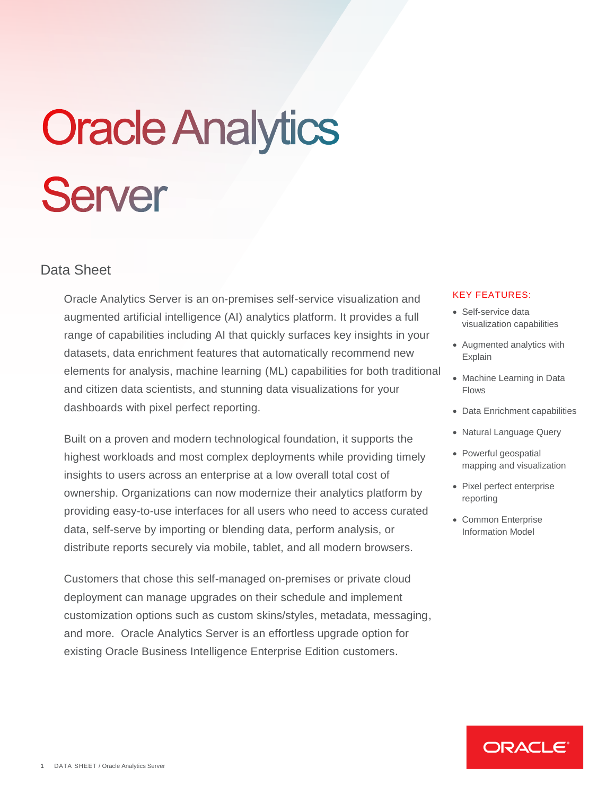# **Oracle Analytics Server**

# Data Sheet

Oracle Analytics Server is an on-premises self-service visualization and augmented artificial intelligence (AI) analytics platform. It provides a full range of capabilities including AI that quickly surfaces key insights in your datasets, data enrichment features that automatically recommend new elements for analysis, machine learning (ML) capabilities for both traditional and citizen data scientists, and stunning data visualizations for your dashboards with pixel perfect reporting.

Built on a proven and modern technological foundation, it supports the highest workloads and most complex deployments while providing timely insights to users across an enterprise at a low overall total cost of ownership. Organizations can now modernize their analytics platform by providing easy-to-use interfaces for all users who need to access curated data, self-serve by importing or blending data, perform analysis, or distribute reports securely via mobile, tablet, and all modern browsers.

Customers that chose this self-managed on-premises or private cloud deployment can manage upgrades on their schedule and implement customization options such as custom skins/styles, metadata, messaging, and more. Oracle Analytics Server is an effortless upgrade option for existing Oracle Business Intelligence Enterprise Edition customers.

# KEY FEATURES:

- Self-service data visualization capabilities
- Augmented analytics with Explain
- Machine Learning in Data Flows
- Data Enrichment capabilities
- Natural Language Query
- Powerful geospatial mapping and visualization
- Pixel perfect enterprise reporting
- Common Enterprise Information Model

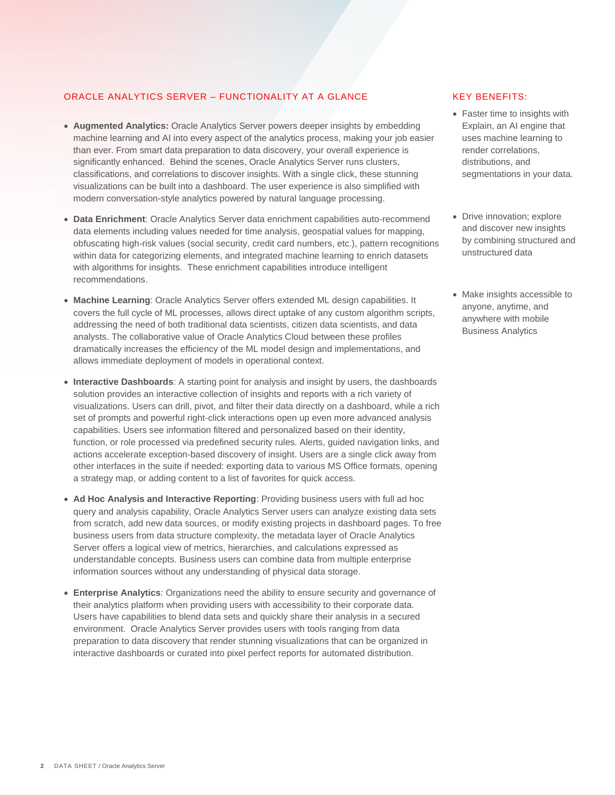## ORACLE ANALYTICS SERVER – FUNCTIONALITY AT A GLANCE

- **Augmented Analytics:** Oracle Analytics Server powers deeper insights by embedding machine learning and AI into every aspect of the analytics process, making your job easier than ever. From smart data preparation to data discovery, your overall experience is significantly enhanced. Behind the scenes, Oracle Analytics Server runs clusters, classifications, and correlations to discover insights. With a single click, these stunning visualizations can be built into a dashboard. The user experience is also simplified with modern conversation-style analytics powered by natural language processing.
- **Data Enrichment**: Oracle Analytics Server data enrichment capabilities auto-recommend data elements including values needed for time analysis, geospatial values for mapping, obfuscating high-risk values (social security, credit card numbers, etc.), pattern recognitions within data for categorizing elements, and integrated machine learning to enrich datasets with algorithms for insights. These enrichment capabilities introduce intelligent recommendations.
- **Machine Learning**: Oracle Analytics Server offers extended ML design capabilities. It covers the full cycle of ML processes, allows direct uptake of any custom algorithm scripts, addressing the need of both traditional data scientists, citizen data scientists, and data analysts. The collaborative value of Oracle Analytics Cloud between these profiles dramatically increases the efficiency of the ML model design and implementations, and allows immediate deployment of models in operational context.
- **Interactive Dashboards**: A starting point for analysis and insight by users, the dashboards solution provides an interactive collection of insights and reports with a rich variety of visualizations. Users can drill, pivot, and filter their data directly on a dashboard, while a rich set of prompts and powerful right-click interactions open up even more advanced analysis capabilities. Users see information filtered and personalized based on their identity, function, or role processed via predefined security rules. Alerts, guided navigation links, and actions accelerate exception-based discovery of insight. Users are a single click away from other interfaces in the suite if needed: exporting data to various MS Office formats, opening a strategy map, or adding content to a list of favorites for quick access.
- **Ad Hoc Analysis and Interactive Reporting**: Providing business users with full ad hoc query and analysis capability, Oracle Analytics Server users can analyze existing data sets from scratch, add new data sources, or modify existing projects in dashboard pages. To free business users from data structure complexity, the metadata layer of Oracle Analytics Server offers a logical view of metrics, hierarchies, and calculations expressed as understandable concepts. Business users can combine data from multiple enterprise information sources without any understanding of physical data storage.
- **Enterprise Analytics**: Organizations need the ability to ensure security and governance of their analytics platform when providing users with accessibility to their corporate data. Users have capabilities to blend data sets and quickly share their analysis in a secured environment. Oracle Analytics Server provides users with tools ranging from data preparation to data discovery that render stunning visualizations that can be organized in interactive dashboards or curated into pixel perfect reports for automated distribution.

## KEY BENEFITS:

- Faster time to insights with Explain, an AI engine that uses machine learning to render correlations, distributions, and segmentations in your data.
- Drive innovation; explore and discover new insights by combining structured and unstructured data
- Make insights accessible to anyone, anytime, and anywhere with mobile Business Analytics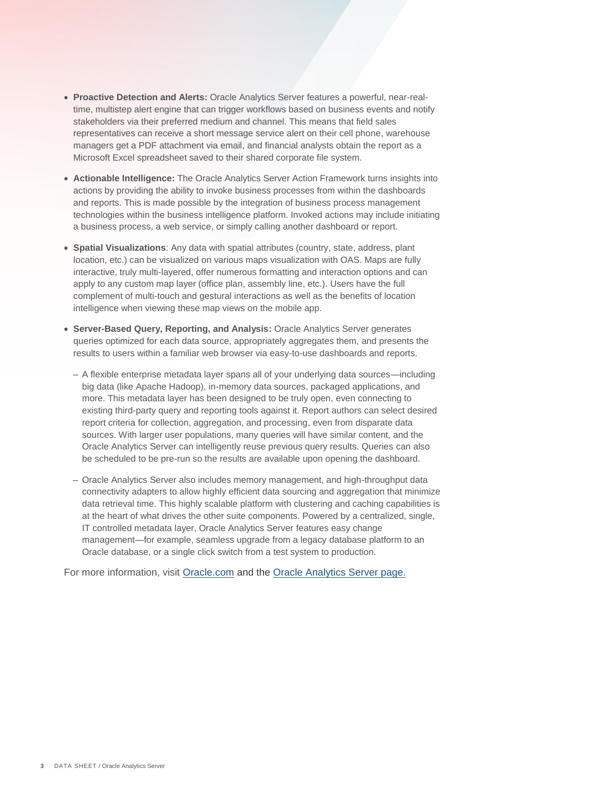- **Proactive Detection and Alerts:** Oracle Analytics Server features a powerful, near-realtime, multistep alert engine that can trigger workflows based on business events and notify stakeholders via their preferred medium and channel. This means that field sales representatives can receive a short message service alert on their cell phone, warehouse managers get a PDF attachment via email, and financial analysts obtain the report as a Microsoft Excel spreadsheet saved to their shared corporate file system.
- **Actionable Intelligence:** The Oracle Analytics Server Action Framework turns insights into actions by providing the ability to invoke business processes from within the dashboards and reports. This is made possible by the integration of business process management technologies within the business intelligence platform. Invoked actions may include initiating a business process, a web service, or simply calling another dashboard or report.
- **Spatial Visualizations**: Any data with spatial attributes (country, state, address, plant location, etc.) can be visualized on various maps visualization with OAS. Maps are fully interactive, truly multi-layered, offer numerous formatting and interaction options and can apply to any custom map layer (office plan, assembly line, etc.). Users have the full complement of multi-touch and gestural interactions as well as the benefits of location intelligence when viewing these map views on the mobile app.
- **Server-Based Query, Reporting, and Analysis:** Oracle Analytics Server generates queries optimized for each data source, appropriately aggregates them, and presents the results to users within a familiar web browser via easy-to-use dashboards and reports.
	- A flexible enterprise metadata layer spans all of your underlying data sources—including big data (like Apache Hadoop), in-memory data sources, packaged applications, and more. This metadata layer has been designed to be truly open, even connecting to existing third-party query and reporting tools against it. Report authors can select desired report criteria for collection, aggregation, and processing, even from disparate data sources. With larger user populations, many queries will have similar content, and the Oracle Analytics Server can intelligently reuse previous query results. Queries can also be scheduled to be pre-run so the results are available upon opening the dashboard.
	- Oracle Analytics Server also includes memory management, and high-throughput data connectivity adapters to allow highly efficient data sourcing and aggregation that minimize data retrieval time. This highly scalable platform with clustering and caching capabilities is at the heart of what drives the other suite components. Powered by a centralized, single, IT controlled metadata layer, Oracle Analytics Server features easy change management—for example, seamless upgrade from a legacy database platform to an Oracle database, or a single click switch from a test system to production.

For more information, visit [Oracle.](https://www.oracle.com/solutions/business-analytics/)com and the [Oracle Analytics Server page](https://www.oracle.com/business-analytics/analytics-server.html).